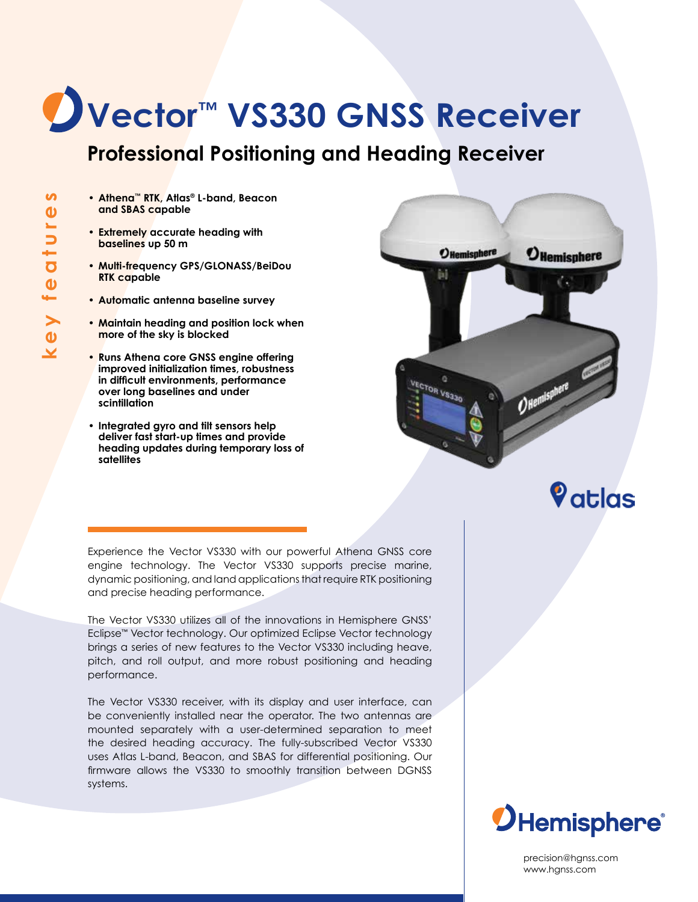## **Vector™ VS330 GNSS Receiver**

### **Professional Positioning and Heading Receiver**

- **• Athena™ RTK, Atlas® L-band, Beacon and SBAS capable**
- **• Extremely accurate heading with baselines up 50 m**
- **• Multi-frequency GPS/GLONASS/BeiDou RTK capable**
- **• Automatic antenna baseline survey**
- **• Maintain heading and position lock when more of the sky is blocked**
- **• Runs Athena core GNSS engine offering improved initialization times, robustness in difficult environments, performance over long baselines and under scintillation**
- **• Integrated gyro and tilt sensors help deliver fast start-up times and provide heading updates during temporary loss of satellites**



Vatlas

Experience the Vector VS330 with our powerful Athena GNSS core engine technology. The Vector VS330 supports precise marine, dynamic positioning, and land applications that require RTK positioning and precise heading performance.

The Vector VS330 utilizes all of the innovations in Hemisphere GNSS' Eclipse™ Vector technology. Our optimized Eclipse Vector technology brings a series of new features to the Vector VS330 including heave, pitch, and roll output, and more robust positioning and heading performance.

The Vector VS330 receiver, with its display and user interface, can be conveniently installed near the operator. The two antennas are mounted separately with a user-determined separation to meet the desired heading accuracy. The fully-subscribed Vector VS330 uses Atlas L-band, Beacon, and SBAS for differential positioning. Our firmware allows the VS330 to smoothly transition between DGNSS systems.



precision@hgnss.com www.hgnss.com